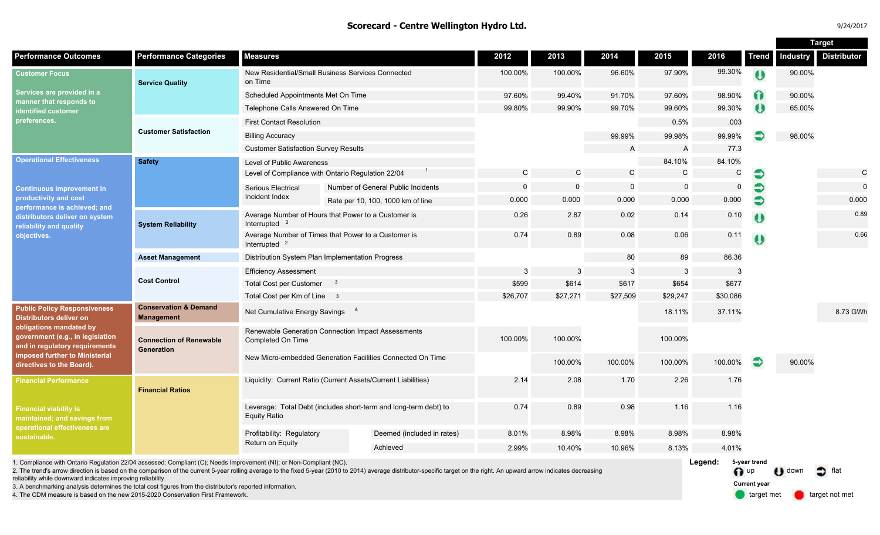#### **Scorecard - Centre Wellington Hydro Ltd.**

| 9/24/2017 |  |  |
|-----------|--|--|
|           |  |  |

|                                                                                                                                                                                                                                       |                                                       |                                                               |                                                                  |              |              |              |             |             |              | <b>Target</b> |                    |
|---------------------------------------------------------------------------------------------------------------------------------------------------------------------------------------------------------------------------------------|-------------------------------------------------------|---------------------------------------------------------------|------------------------------------------------------------------|--------------|--------------|--------------|-------------|-------------|--------------|---------------|--------------------|
| <b>Performance Outcomes</b>                                                                                                                                                                                                           | <b>Performance Categories</b>                         | <b>Measures</b>                                               |                                                                  | 2012         | 2013         | 2014         | 2015        | 2016        | <b>Trend</b> | Industry      | <b>Distributor</b> |
| <b>Customer Focus</b><br>Services are provided in a<br>manner that responds to<br>identified customer<br>preferences.                                                                                                                 | <b>Service Quality</b>                                | on Time                                                       | New Residential/Small Business Services Connected                | 100.00%      | 100.00%      | 96.60%       | 97.90%      | 99.30%      | $\theta$     | 90.00%        |                    |
|                                                                                                                                                                                                                                       |                                                       | Scheduled Appointments Met On Time                            |                                                                  | 97.60%       | 99.40%       | 91.70%       | 97.60%      | 98.90%      | 60           | 90.00%        |                    |
|                                                                                                                                                                                                                                       |                                                       | Telephone Calls Answered On Time                              |                                                                  | 99.80%       | 99.90%       | 99.70%       | 99.60%      | 99.30%      | ₩            | 65.00%        |                    |
|                                                                                                                                                                                                                                       |                                                       | <b>First Contact Resolution</b>                               |                                                                  |              |              |              | 0.5%        | .003        |              |               |                    |
|                                                                                                                                                                                                                                       | <b>Customer Satisfaction</b>                          | <b>Billing Accuracy</b>                                       |                                                                  |              |              | 99.99%       | 99.98%      | 99.99%      |              | 98.00%        |                    |
|                                                                                                                                                                                                                                       |                                                       | <b>Customer Satisfaction Survey Results</b>                   |                                                                  |              |              | A            | A           | 77.3        |              |               |                    |
| <b>Operational Effectiveness</b><br><b>Continuous improvement in</b><br>productivity and cost<br>performance is achieved; and<br>distributors deliver on system<br>reliability and quality<br>objectives.                             | <b>Safety</b>                                         | Level of Public Awareness                                     |                                                                  |              |              |              | 84.10%      | 84.10%      |              |               |                    |
|                                                                                                                                                                                                                                       |                                                       | Level of Compliance with Ontario Regulation 22/04             | $\mathsf{C}$                                                     | $\mathsf{C}$ | $\mathsf{C}$ | $\mathsf{C}$ | C           | €           |              | $\mathsf{C}$  |                    |
|                                                                                                                                                                                                                                       |                                                       | Serious Electrical                                            | Number of General Public Incidents                               | $\mathbf 0$  | $\mathbf 0$  | $\mathsf{O}$ | $\mathbf 0$ | $\mathbf 0$ |              |               | $\mathbf 0$        |
|                                                                                                                                                                                                                                       |                                                       | Incident Index                                                | Rate per 10, 100, 1000 km of line                                | 0.000        | 0.000        | 0.000        | 0.000       | 0.000       | $\bullet$    |               | 0.000              |
|                                                                                                                                                                                                                                       | <b>System Reliability</b>                             | Interrupted $2$                                               | Average Number of Hours that Power to a Customer is              | 0.26         | 2.87         | 0.02         | 0.14        | 0.10        | $\mathbf 0$  |               | 0.89               |
|                                                                                                                                                                                                                                       |                                                       | Interrupted <sup>2</sup>                                      | Average Number of Times that Power to a Customer is              | 0.74         | 0.89         | 0.08         | 0.06        | 0.11        | $\bullet$    |               | 0.66               |
|                                                                                                                                                                                                                                       | <b>Asset Management</b>                               |                                                               | Distribution System Plan Implementation Progress                 |              |              | 80           | 89          | 86.36       |              |               |                    |
|                                                                                                                                                                                                                                       | <b>Cost Control</b>                                   | <b>Efficiency Assessment</b>                                  |                                                                  | 3            | 3            | 3            |             | 3           |              |               |                    |
|                                                                                                                                                                                                                                       |                                                       | <b>Total Cost per Customer</b>                                | $^{\circ}$                                                       | \$599        | \$614        | \$617        | \$654       | \$677       |              |               |                    |
|                                                                                                                                                                                                                                       |                                                       | Total Cost per Km of Line 3                                   |                                                                  | \$26,707     | \$27,271     | \$27,509     | \$29,247    | \$30,086    |              |               |                    |
| <b>Public Policy Responsiveness</b><br><b>Distributors deliver on</b><br>obligations mandated by<br>government (e.g., in legislation<br>and in regulatory requirements<br>imposed further to Ministerial<br>directives to the Board). | <b>Conservation &amp; Demand</b><br><b>Management</b> | Net Cumulative Energy Savings 4                               |                                                                  |              |              |              | 18.11%      | 37.11%      |              |               | 8.73 GWh           |
|                                                                                                                                                                                                                                       | <b>Connection of Renewable</b><br>Generation          | Completed On Time                                             | Renewable Generation Connection Impact Assessments               | 100.00%      | 100.00%      |              | 100.00%     |             |              |               |                    |
|                                                                                                                                                                                                                                       |                                                       |                                                               | New Micro-embedded Generation Facilities Connected On Time       |              | 100.00%      | 100.00%      | 100.00%     | 100.00%     | €            | 90.00%        |                    |
| <b>Financial Performance</b>                                                                                                                                                                                                          | <b>Financial Ratios</b>                               | Liquidity: Current Ratio (Current Assets/Current Liabilities) |                                                                  | 2.14         | 2.08         | 1.70         | 2.26        | 1.76        |              |               |                    |
| <b>Financial viability is</b><br>maintained; and savings from<br>operational effectiveness are<br>sustainable.                                                                                                                        |                                                       | <b>Equity Ratio</b>                                           | Leverage: Total Debt (includes short-term and long-term debt) to | 0.74         | 0.89         | 0.98         | 1.16        | 1.16        |              |               |                    |
|                                                                                                                                                                                                                                       |                                                       | Profitability: Regulatory                                     | Deemed (included in rates)                                       | 8.01%        | 8.98%        | 8.98%        | 8.98%       | 8.98%       |              |               |                    |
|                                                                                                                                                                                                                                       |                                                       | Return on Equity                                              | Achieved                                                         | 2.99%        | 10.40%       | 10.96%       | 8.13%       | 4.01%       |              |               |                    |
| 1. Compliance with Ontario Regulation 22/04 assessed: Compliant (C); Needs Improvement (NI); or Non-Compliant (NC).                                                                                                                   |                                                       |                                                               |                                                                  |              |              |              |             | Legend:     | 5-year trend | $-1$          |                    |

2. The trend's arrow direction is based on the comparison of the current 5-year rolling average to the fixed 5-year (2010 to 2014) average distributor-specific target on the right. An upward arrow indicates decreasing reliability while downward indicates improving reliability.

3. A benchmarking analysis determines the total cost figures from the distributor's reported information.

4. The CDM measure is based on the new 2015-2020 Conservation First Framework.

**D** down **D** flat **Current year**

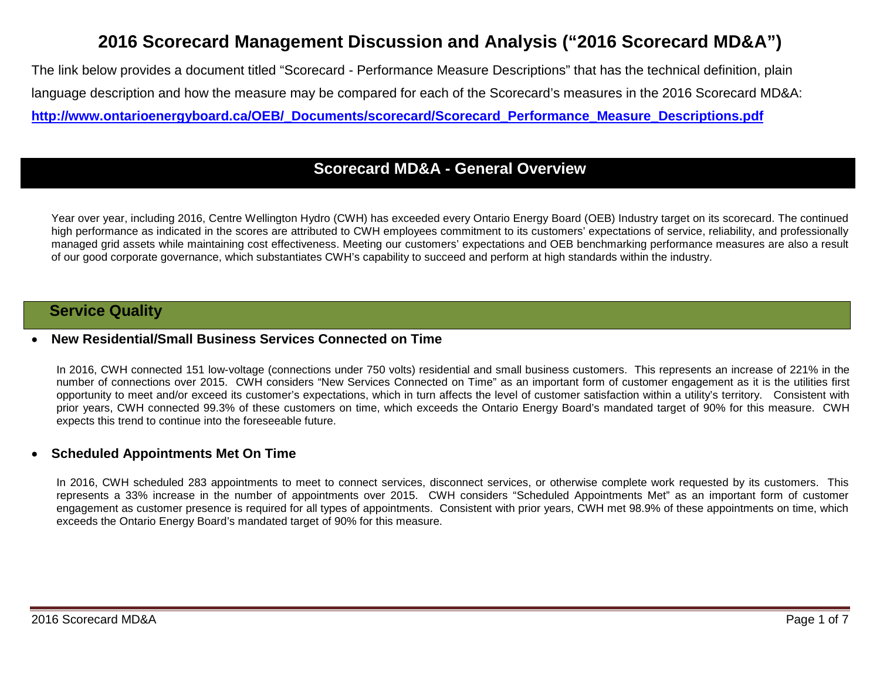# **2016 Scorecard Management Discussion and Analysis ("2016 Scorecard MD&A")**

The link below provides a document titled "Scorecard - Performance Measure Descriptions" that has the technical definition, plain language description and how the measure may be compared for each of the Scorecard's measures in the 2016 Scorecard MD&A: **[http://www.ontarioenergyboard.ca/OEB/\\_Documents/scorecard/Scorecard\\_Performance\\_Measure\\_Descriptions.pdf](http://www.ontarioenergyboard.ca/OEB/_Documents/scorecard/Scorecard_Performance_Measure_Descriptions.pdf)**

## **Scorecard MD&A - General Overview**

Year over year, including 2016, Centre Wellington Hydro (CWH) has exceeded every Ontario Energy Board (OEB) Industry target on its scorecard. The continued high performance as indicated in the scores are attributed to CWH employees commitment to its customers' expectations of service, reliability, and professionally managed grid assets while maintaining cost effectiveness. Meeting our customers' expectations and OEB benchmarking performance measures are also a result of our good corporate governance, which substantiates CWH's capability to succeed and perform at high standards within the industry.

### **Service Quality**

#### • **New Residential/Small Business Services Connected on Time**

In 2016, CWH connected 151 low-voltage (connections under 750 volts) residential and small business customers. This represents an increase of 221% in the number of connections over 2015. CWH considers "New Services Connected on Time" as an important form of customer engagement as it is the utilities first opportunity to meet and/or exceed its customer's expectations, which in turn affects the level of customer satisfaction within a utility's territory. Consistent with prior years, CWH connected 99.3% of these customers on time, which exceeds the Ontario Energy Board's mandated target of 90% for this measure. CWH expects this trend to continue into the foreseeable future.

### • **Scheduled Appointments Met On Time**

In 2016, CWH scheduled 283 appointments to meet to connect services, disconnect services, or otherwise complete work requested by its customers. This represents a 33% increase in the number of appointments over 2015. CWH considers "Scheduled Appointments Met" as an important form of customer engagement as customer presence is required for all types of appointments. Consistent with prior years, CWH met 98.9% of these appointments on time, which exceeds the Ontario Energy Board's mandated target of 90% for this measure.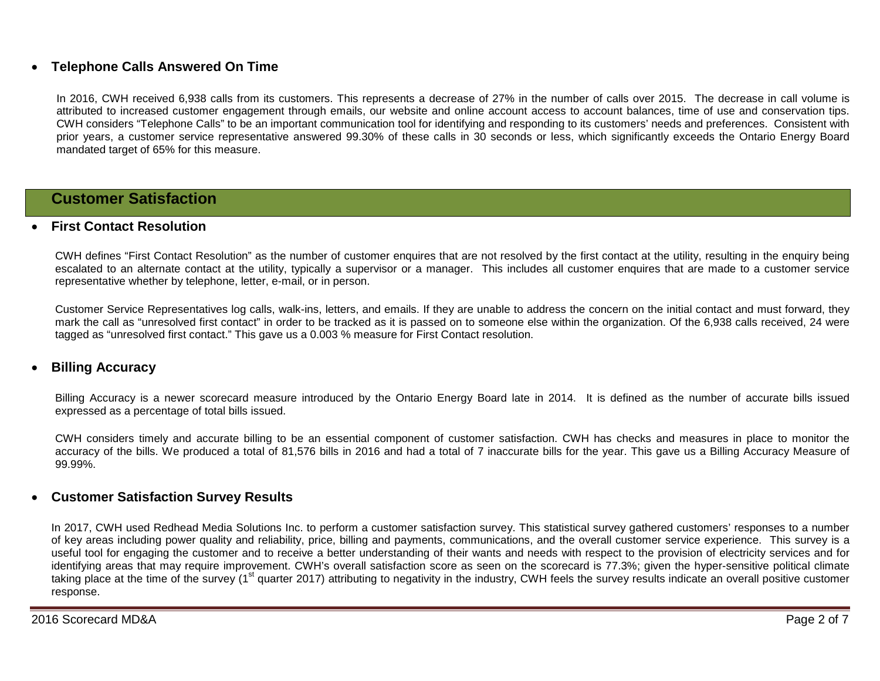### • **Telephone Calls Answered On Time**

In 2016, CWH received 6,938 calls from its customers. This represents a decrease of 27% in the number of calls over 2015. The decrease in call volume is attributed to increased customer engagement through emails, our website and online account access to account balances, time of use and conservation tips. CWH considers "Telephone Calls" to be an important communication tool for identifying and responding to its customers' needs and preferences. Consistent with prior years, a customer service representative answered 99.30% of these calls in 30 seconds or less, which significantly exceeds the Ontario Energy Board mandated target of 65% for this measure.

### **Customer Satisfaction**

#### • **First Contact Resolution**

CWH defines "First Contact Resolution" as the number of customer enquires that are not resolved by the first contact at the utility, resulting in the enquiry being escalated to an alternate contact at the utility, typically a supervisor or a manager. This includes all customer enquires that are made to a customer service representative whether by telephone, letter, e-mail, or in person.

Customer Service Representatives log calls, walk-ins, letters, and emails. If they are unable to address the concern on the initial contact and must forward, they mark the call as "unresolved first contact" in order to be tracked as it is passed on to someone else within the organization. Of the 6,938 calls received, 24 were tagged as "unresolved first contact." This gave us a 0.003 % measure for First Contact resolution.

### • **Billing Accuracy**

Billing Accuracy is a newer scorecard measure introduced by the Ontario Energy Board late in 2014. It is defined as the number of accurate bills issued expressed as a percentage of total bills issued.

CWH considers timely and accurate billing to be an essential component of customer satisfaction. CWH has checks and measures in place to monitor the accuracy of the bills. We produced a total of 81,576 bills in 2016 and had a total of 7 inaccurate bills for the year. This gave us a Billing Accuracy Measure of 99.99%.

### • **Customer Satisfaction Survey Results**

In 2017, CWH used Redhead Media Solutions Inc. to perform a customer satisfaction survey. This statistical survey gathered customers' responses to a number of key areas including power quality and reliability, price, billing and payments, communications, and the overall customer service experience. This survey is a useful tool for engaging the customer and to receive a better understanding of their wants and needs with respect to the provision of electricity services and for identifying areas that may require improvement. CWH's overall satisfaction score as seen on the scorecard is 77.3%; given the hyper-sensitive political climate taking place at the time of the survey (1<sup>st</sup> quarter 2017) attributing to negativity in the industry, CWH feels the survey results indicate an overall positive customer response.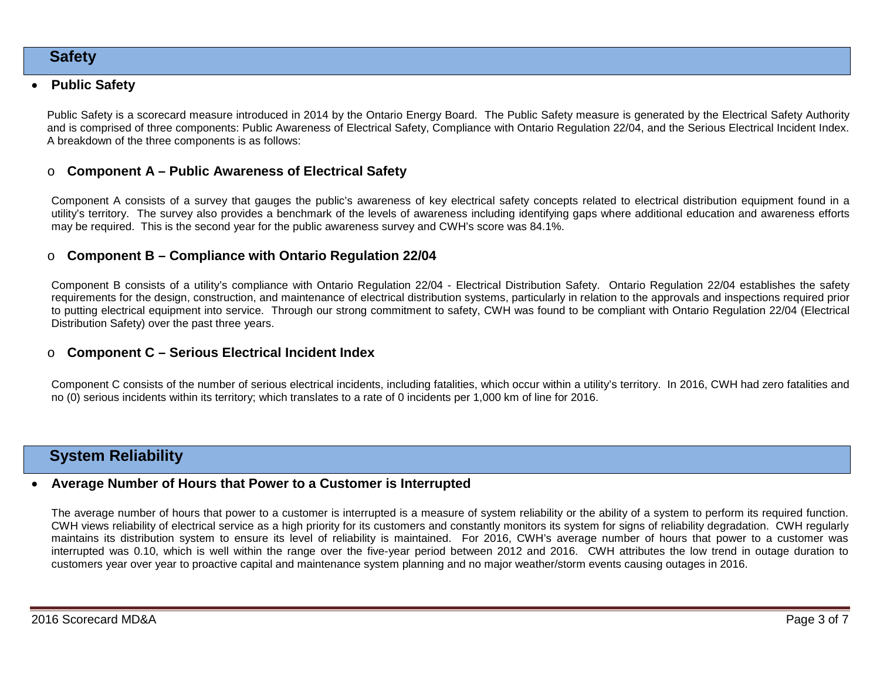### **Safety**

### • **Public Safety**

Public Safety is a scorecard measure introduced in 2014 by the Ontario Energy Board. The Public Safety measure is generated by the Electrical Safety Authority and is comprised of three components: Public Awareness of Electrical Safety, Compliance with Ontario Regulation 22/04, and the Serious Electrical Incident Index. A breakdown of the three components is as follows:

### o **Component A – Public Awareness of Electrical Safety**

Component A consists of a survey that gauges the public's awareness of key electrical safety concepts related to electrical distribution equipment found in a utility's territory. The survey also provides a benchmark of the levels of awareness including identifying gaps where additional education and awareness efforts may be required. This is the second year for the public awareness survey and CWH's score was 84.1%.

### o **Component B – Compliance with Ontario Regulation 22/04**

Component B consists of a utility's compliance with Ontario Regulation 22/04 - Electrical Distribution Safety. Ontario Regulation 22/04 establishes the safety requirements for the design, construction, and maintenance of electrical distribution systems, particularly in relation to the approvals and inspections required prior to putting electrical equipment into service. Through our strong commitment to safety, CWH was found to be compliant with Ontario Regulation 22/04 (Electrical Distribution Safety) over the past three years.

### o **Component C – Serious Electrical Incident Index**

Component C consists of the number of serious electrical incidents, including fatalities, which occur within a utility's territory. In 2016, CWH had zero fatalities and no (0) serious incidents within its territory; which translates to a rate of 0 incidents per 1,000 km of line for 2016.

## **System Reliability**

### • **Average Number of Hours that Power to a Customer is Interrupted**

The average number of hours that power to a customer is interrupted is a measure of system reliability or the ability of a system to perform its required function. CWH views reliability of electrical service as a high priority for its customers and constantly monitors its system for signs of reliability degradation. CWH regularly maintains its distribution system to ensure its level of reliability is maintained. For 2016, CWH's average number of hours that power to a customer was interrupted was 0.10, which is well within the range over the five-year period between 2012 and 2016. CWH attributes the low trend in outage duration to customers year over year to proactive capital and maintenance system planning and no major weather/storm events causing outages in 2016.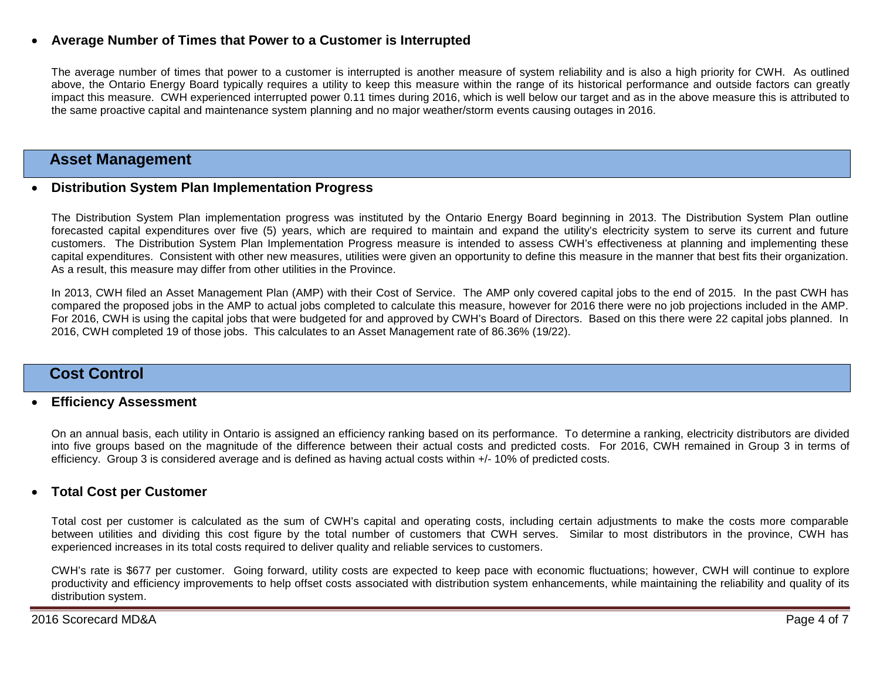### • **Average Number of Times that Power to a Customer is Interrupted**

The average number of times that power to a customer is interrupted is another measure of system reliability and is also a high priority for CWH. As outlined above, the Ontario Energy Board typically requires a utility to keep this measure within the range of its historical performance and outside factors can greatly impact this measure. CWH experienced interrupted power 0.11 times during 2016, which is well below our target and as in the above measure this is attributed to the same proactive capital and maintenance system planning and no major weather/storm events causing outages in 2016.

### **Asset Management**

### • **Distribution System Plan Implementation Progress**

The Distribution System Plan implementation progress was instituted by the Ontario Energy Board beginning in 2013. The Distribution System Plan outline forecasted capital expenditures over five (5) years, which are required to maintain and expand the utility's electricity system to serve its current and future customers. The Distribution System Plan Implementation Progress measure is intended to assess CWH's effectiveness at planning and implementing these capital expenditures. Consistent with other new measures, utilities were given an opportunity to define this measure in the manner that best fits their organization. As a result, this measure may differ from other utilities in the Province.

In 2013, CWH filed an Asset Management Plan (AMP) with their Cost of Service. The AMP only covered capital jobs to the end of 2015. In the past CWH has compared the proposed jobs in the AMP to actual jobs completed to calculate this measure, however for 2016 there were no job projections included in the AMP. For 2016, CWH is using the capital jobs that were budgeted for and approved by CWH's Board of Directors. Based on this there were 22 capital jobs planned. In 2016, CWH completed 19 of those jobs. This calculates to an Asset Management rate of 86.36% (19/22).

### **Cost Control**

#### • **Efficiency Assessment**

On an annual basis, each utility in Ontario is assigned an efficiency ranking based on its performance. To determine a ranking, electricity distributors are divided into five groups based on the magnitude of the difference between their actual costs and predicted costs. For 2016, CWH remained in Group 3 in terms of efficiency. Group 3 is considered average and is defined as having actual costs within +/- 10% of predicted costs.

### • **Total Cost per Customer**

Total cost per customer is calculated as the sum of CWH's capital and operating costs, including certain adjustments to make the costs more comparable between utilities and dividing this cost figure by the total number of customers that CWH serves. Similar to most distributors in the province, CWH has experienced increases in its total costs required to deliver quality and reliable services to customers.

CWH's rate is \$677 per customer. Going forward, utility costs are expected to keep pace with economic fluctuations; however, CWH will continue to explore productivity and efficiency improvements to help offset costs associated with distribution system enhancements, while maintaining the reliability and quality of its distribution system.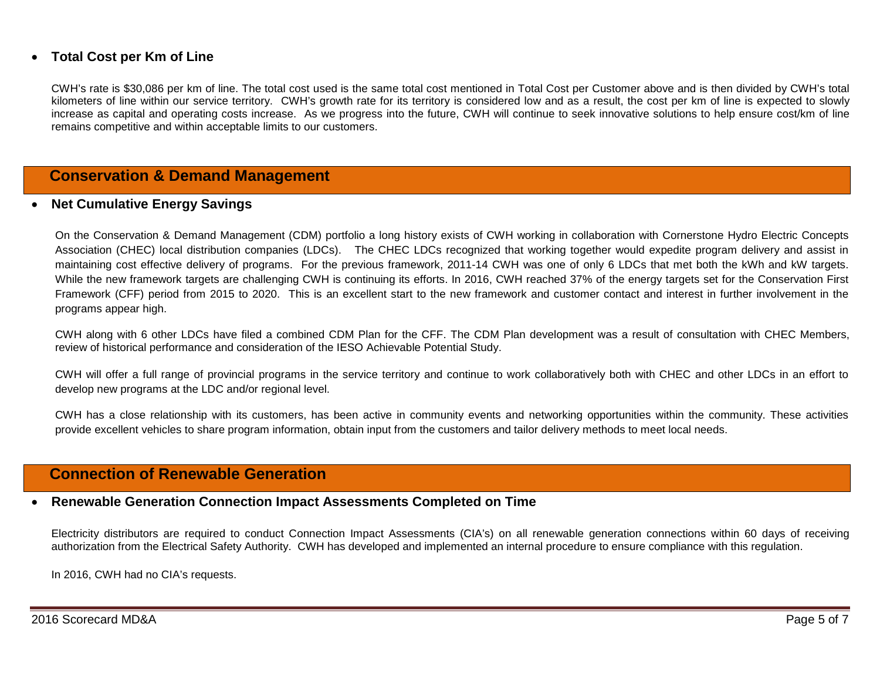### • **Total Cost per Km of Line**

CWH's rate is \$30,086 per km of line. The total cost used is the same total cost mentioned in Total Cost per Customer above and is then divided by CWH's total kilometers of line within our service territory. CWH's growth rate for its territory is considered low and as a result, the cost per km of line is expected to slowly increase as capital and operating costs increase. As we progress into the future, CWH will continue to seek innovative solutions to help ensure cost/km of line remains competitive and within acceptable limits to our customers.

### **Conservation & Demand Management**

#### • **Net Cumulative Energy Savings**

On the Conservation & Demand Management (CDM) portfolio a long history exists of CWH working in collaboration with Cornerstone Hydro Electric Concepts Association (CHEC) local distribution companies (LDCs). The CHEC LDCs recognized that working together would expedite program delivery and assist in maintaining cost effective delivery of programs. For the previous framework, 2011-14 CWH was one of only 6 LDCs that met both the kWh and kW targets. While the new framework targets are challenging CWH is continuing its efforts. In 2016, CWH reached 37% of the energy targets set for the Conservation First Framework (CFF) period from 2015 to 2020. This is an excellent start to the new framework and customer contact and interest in further involvement in the programs appear high.

CWH along with 6 other LDCs have filed a combined CDM Plan for the CFF. The CDM Plan development was a result of consultation with CHEC Members, review of historical performance and consideration of the IESO Achievable Potential Study.

CWH will offer a full range of provincial programs in the service territory and continue to work collaboratively both with CHEC and other LDCs in an effort to develop new programs at the LDC and/or regional level.

CWH has a close relationship with its customers, has been active in community events and networking opportunities within the community. These activities provide excellent vehicles to share program information, obtain input from the customers and tailor delivery methods to meet local needs.

### **Connection of Renewable Generation**

#### • **Renewable Generation Connection Impact Assessments Completed on Time**

Electricity distributors are required to conduct Connection Impact Assessments (CIA's) on all renewable generation connections within 60 days of receiving authorization from the Electrical Safety Authority. CWH has developed and implemented an internal procedure to ensure compliance with this regulation.

In 2016, CWH had no CIA's requests.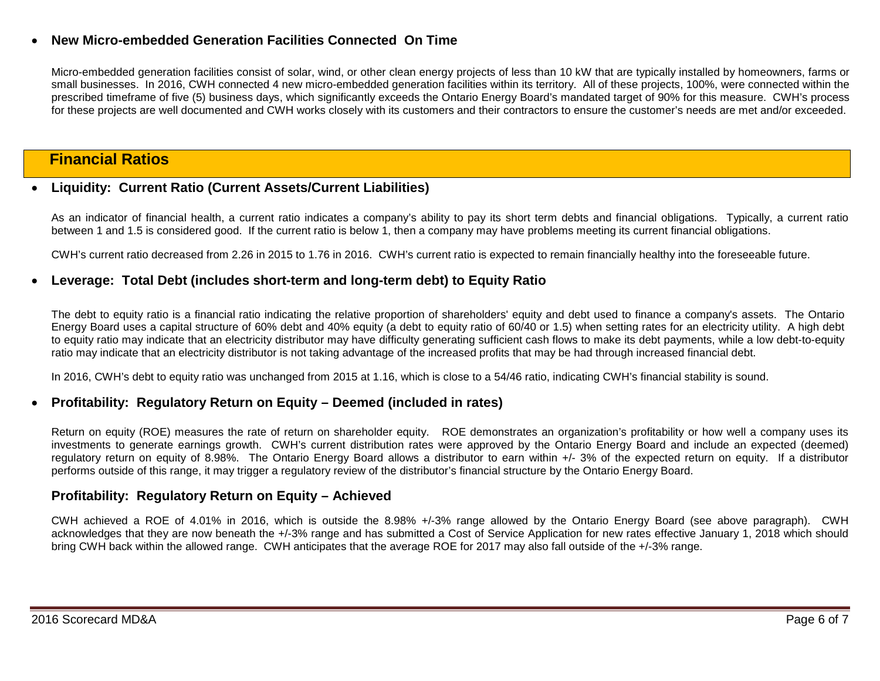### • **New Micro-embedded Generation Facilities Connected On Time**

Micro-embedded generation facilities consist of solar, wind, or other clean energy projects of less than 10 kW that are typically installed by homeowners, farms or small businesses. In 2016, CWH connected 4 new micro-embedded generation facilities within its territory. All of these projects, 100%, were connected within the prescribed timeframe of five (5) business days, which significantly exceeds the Ontario Energy Board's mandated target of 90% for this measure. CWH's process for these projects are well documented and CWH works closely with its customers and their contractors to ensure the customer's needs are met and/or exceeded.

### **Financial Ratios**

### • **Liquidity: Current Ratio (Current Assets/Current Liabilities)**

As an indicator of financial health, a current ratio indicates a company's ability to pay its short term debts and financial obligations. Typically, a current ratio between 1 and 1.5 is considered good. If the current ratio is below 1, then a company may have problems meeting its current financial obligations.

CWH's current ratio decreased from 2.26 in 2015 to 1.76 in 2016. CWH's current ratio is expected to remain financially healthy into the foreseeable future.

#### • **Leverage: Total Debt (includes short-term and long-term debt) to Equity Ratio**

The debt to equity ratio is a financial ratio indicating the relative proportion of shareholders' equity and debt used to finance a company's assets. The Ontario Energy Board uses a capital structure of 60% debt and 40% equity (a debt to equity ratio of 60/40 or 1.5) when setting rates for an electricity utility. A high debt to equity ratio may indicate that an electricity distributor may have difficulty generating sufficient cash flows to make its debt payments, while a low debt-to-equity ratio may indicate that an electricity distributor is not taking advantage of the increased profits that may be had through increased financial debt.

In 2016, CWH's debt to equity ratio was unchanged from 2015 at 1.16, which is close to a 54/46 ratio, indicating CWH's financial stability is sound.

### • **Profitability: Regulatory Return on Equity – Deemed (included in rates)**

Return on equity (ROE) measures the rate of return on shareholder equity. ROE demonstrates an organization's profitability or how well a company uses its investments to generate earnings growth. CWH's current distribution rates were approved by the Ontario Energy Board and include an expected (deemed) regulatory return on equity of 8.98%. The Ontario Energy Board allows a distributor to earn within +/- 3% of the expected return on equity. If a distributor performs outside of this range, it may trigger a regulatory review of the distributor's financial structure by the Ontario Energy Board.

### **Profitability: Regulatory Return on Equity – Achieved**

CWH achieved a ROE of 4.01% in 2016, which is outside the 8.98% +/-3% range allowed by the Ontario Energy Board (see above paragraph). CWH acknowledges that they are now beneath the +/-3% range and has submitted a Cost of Service Application for new rates effective January 1, 2018 which should bring CWH back within the allowed range. CWH anticipates that the average ROE for 2017 may also fall outside of the +/-3% range.